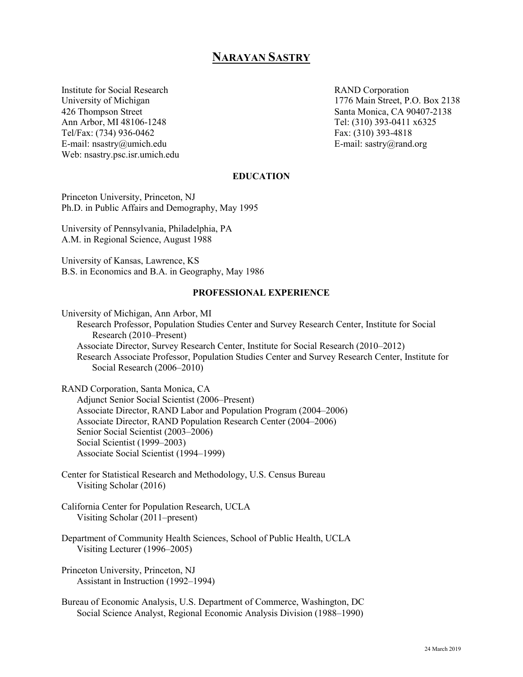# **NARAYAN SASTRY**

Institute for Social Research **RAND** Corporation Ann Arbor, MI 48106-1248 Tel: (310) 393-0411 x6325<br>Tel/Fax: (734) 936-0462 Fax: (310) 393-4818 Tel/Fax: (734) 936-0462 E-mail: nsastry@umich.edu E-mail: sastry@rand.org Web: nsastry.psc.isr.umich.edu

University of Michigan 1776 Main Street, P.O. Box 2138 426 Thompson Street Santa Monica, CA 90407-2138

### **EDUCATION**

Princeton University, Princeton, NJ Ph.D. in Public Affairs and Demography, May 1995

University of Pennsylvania, Philadelphia, PA A.M. in Regional Science, August 1988

University of Kansas, Lawrence, KS B.S. in Economics and B.A. in Geography, May 1986

### **PROFESSIONAL EXPERIENCE**

University of Michigan, Ann Arbor, MI Research Professor, Population Studies Center and Survey Research Center, Institute for Social Research (2010–Present) Associate Director, Survey Research Center, Institute for Social Research (2010–2012) Research Associate Professor, Population Studies Center and Survey Research Center, Institute for Social Research (2006–2010)

RAND Corporation, Santa Monica, CA Adjunct Senior Social Scientist (2006–Present) Associate Director, RAND Labor and Population Program (2004–2006) Associate Director, RAND Population Research Center (2004–2006) Senior Social Scientist (2003–2006) Social Scientist (1999–2003) Associate Social Scientist (1994–1999)

Center for Statistical Research and Methodology, U.S. Census Bureau Visiting Scholar (2016)

California Center for Population Research, UCLA Visiting Scholar (2011–present)

Department of Community Health Sciences, School of Public Health, UCLA Visiting Lecturer (1996–2005)

Princeton University, Princeton, NJ Assistant in Instruction (1992–1994)

Bureau of Economic Analysis, U.S. Department of Commerce, Washington, DC Social Science Analyst, Regional Economic Analysis Division (1988–1990)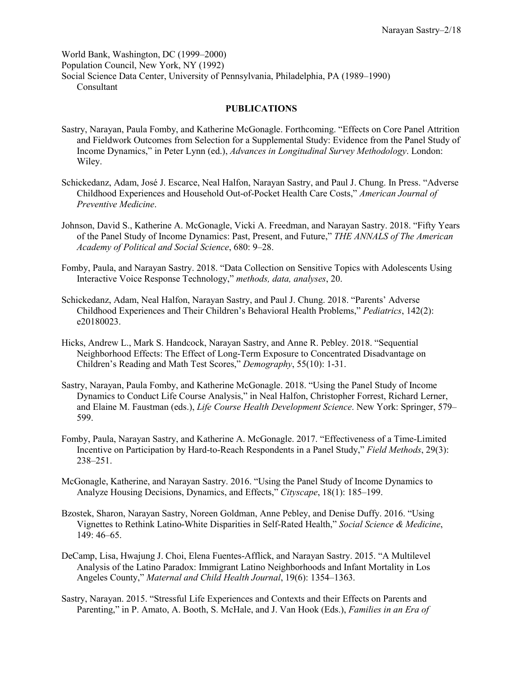World Bank, Washington, DC (1999–2000) Population Council, New York, NY (1992) Social Science Data Center, University of Pennsylvania, Philadelphia, PA (1989–1990) Consultant

## **PUBLICATIONS**

- Sastry, Narayan, Paula Fomby, and Katherine McGonagle. Forthcoming. "Effects on Core Panel Attrition and Fieldwork Outcomes from Selection for a Supplemental Study: Evidence from the Panel Study of Income Dynamics," in Peter Lynn (ed.), *Advances in Longitudinal Survey Methodology*. London: Wiley.
- Schickedanz, Adam, José J. Escarce, Neal Halfon, Narayan Sastry, and Paul J. Chung. In Press. "Adverse Childhood Experiences and Household Out-of-Pocket Health Care Costs," *American Journal of Preventive Medicine*.
- Johnson, David S., Katherine A. McGonagle, Vicki A. Freedman, and Narayan Sastry. 2018. "Fifty Years of the Panel Study of Income Dynamics: Past, Present, and Future," *THE ANNALS of The American Academy of Political and Social Science*, 680: 9–28.
- Fomby, Paula, and Narayan Sastry. 2018. "Data Collection on Sensitive Topics with Adolescents Using Interactive Voice Response Technology," *methods, data, analyses*, 20.
- Schickedanz, Adam, Neal Halfon, Narayan Sastry, and Paul J. Chung. 2018. "Parents' Adverse Childhood Experiences and Their Children's Behavioral Health Problems," *Pediatrics*, 142(2): e20180023.
- Hicks, Andrew L., Mark S. Handcock, Narayan Sastry, and Anne R. Pebley. 2018. "Sequential Neighborhood Effects: The Effect of Long-Term Exposure to Concentrated Disadvantage on Children's Reading and Math Test Scores," *Demography*, 55(10): 1-31.
- Sastry, Narayan, Paula Fomby, and Katherine McGonagle. 2018. "Using the Panel Study of Income Dynamics to Conduct Life Course Analysis," in Neal Halfon, Christopher Forrest, Richard Lerner, and Elaine M. Faustman (eds.), *Life Course Health Development Science*. New York: Springer, 579– 599.
- Fomby, Paula, Narayan Sastry, and Katherine A. McGonagle. 2017. "Effectiveness of a Time-Limited Incentive on Participation by Hard-to-Reach Respondents in a Panel Study," *Field Methods*, 29(3): 238–251.
- McGonagle, Katherine, and Narayan Sastry. 2016. "Using the Panel Study of Income Dynamics to Analyze Housing Decisions, Dynamics, and Effects," *Cityscape*, 18(1): 185–199.
- Bzostek, Sharon, Narayan Sastry, Noreen Goldman, Anne Pebley, and Denise Duffy. 2016. "Using Vignettes to Rethink Latino-White Disparities in Self-Rated Health," *Social Science & Medicine*, 149: 46–65.
- DeCamp, Lisa, Hwajung J. Choi, Elena Fuentes-Afflick, and Narayan Sastry. 2015. "A Multilevel Analysis of the Latino Paradox: Immigrant Latino Neighborhoods and Infant Mortality in Los Angeles County," *Maternal and Child Health Journal*, 19(6): 1354–1363.
- Sastry, Narayan. 2015. "Stressful Life Experiences and Contexts and their Effects on Parents and Parenting," in P. Amato, A. Booth, S. McHale, and J. Van Hook (Eds.), *Families in an Era of*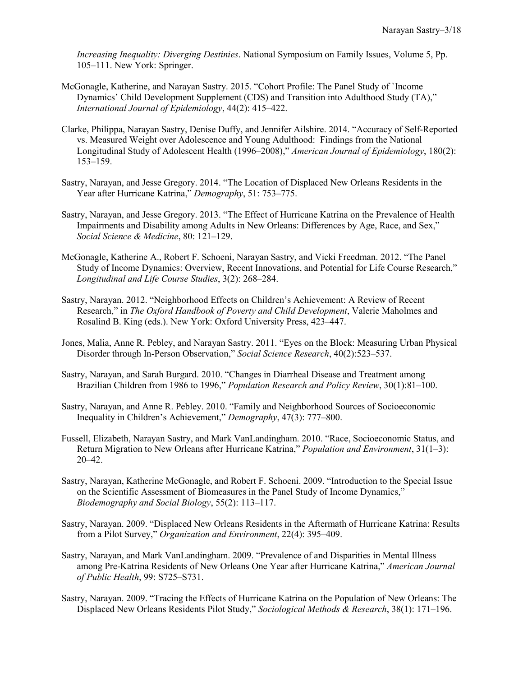*Increasing Inequality: Diverging Destinies*. National Symposium on Family Issues, Volume 5, Pp. 105–111. New York: Springer.

- McGonagle, Katherine, and Narayan Sastry. 2015. "Cohort Profile: The Panel Study of `Income Dynamics' Child Development Supplement (CDS) and Transition into Adulthood Study (TA)," *International Journal of Epidemiology*, 44(2): 415–422.
- Clarke, Philippa, Narayan Sastry, Denise Duffy, and Jennifer Ailshire. 2014. "Accuracy of Self-Reported vs. Measured Weight over Adolescence and Young Adulthood: Findings from the National Longitudinal Study of Adolescent Health (1996–2008)," *American Journal of Epidemiology*, 180(2): 153–159.
- Sastry, Narayan, and Jesse Gregory. 2014. "The Location of Displaced New Orleans Residents in the Year after Hurricane Katrina," *Demography*, 51: 753–775.
- Sastry, Narayan, and Jesse Gregory. 2013. "The Effect of Hurricane Katrina on the Prevalence of Health Impairments and Disability among Adults in New Orleans: Differences by Age, Race, and Sex," *Social Science & Medicine*, 80: 121–129.
- McGonagle, Katherine A., Robert F. Schoeni, Narayan Sastry, and Vicki Freedman. 2012. "The Panel Study of Income Dynamics: Overview, Recent Innovations, and Potential for Life Course Research," *Longitudinal and Life Course Studies*, 3(2): 268–284.
- Sastry, Narayan. 2012. "Neighborhood Effects on Children's Achievement: A Review of Recent Research," in *The Oxford Handbook of Poverty and Child Development*, Valerie Maholmes and Rosalind B. King (eds.). New York: Oxford University Press, 423–447.
- Jones, Malia, Anne R. Pebley, and Narayan Sastry. 2011. "Eyes on the Block: Measuring Urban Physical Disorder through In-Person Observation," *Social Science Research*, 40(2):523–537.
- Sastry, Narayan, and Sarah Burgard. 2010. "Changes in Diarrheal Disease and Treatment among Brazilian Children from 1986 to 1996," *Population Research and Policy Review*, 30(1):81–100.
- Sastry, Narayan, and Anne R. Pebley. 2010. "Family and Neighborhood Sources of Socioeconomic Inequality in Children's Achievement," *Demography*, 47(3): 777–800.
- Fussell, Elizabeth, Narayan Sastry, and Mark VanLandingham. 2010. "Race, Socioeconomic Status, and Return Migration to New Orleans after Hurricane Katrina," *Population and Environment*, 31(1–3): 20–42.
- Sastry, Narayan, Katherine McGonagle, and Robert F. Schoeni. 2009. "Introduction to the Special Issue on the Scientific Assessment of Biomeasures in the Panel Study of Income Dynamics," *Biodemography and Social Biology*, 55(2): 113–117.
- Sastry, Narayan. 2009. "Displaced New Orleans Residents in the Aftermath of Hurricane Katrina: Results from a Pilot Survey," *Organization and Environment*, 22(4): 395–409.
- Sastry, Narayan, and Mark VanLandingham. 2009. "Prevalence of and Disparities in Mental Illness among Pre-Katrina Residents of New Orleans One Year after Hurricane Katrina," *American Journal of Public Health*, 99: S725–S731.
- Sastry, Narayan. 2009. "Tracing the Effects of Hurricane Katrina on the Population of New Orleans: The Displaced New Orleans Residents Pilot Study," *Sociological Methods & Research*, 38(1): 171–196.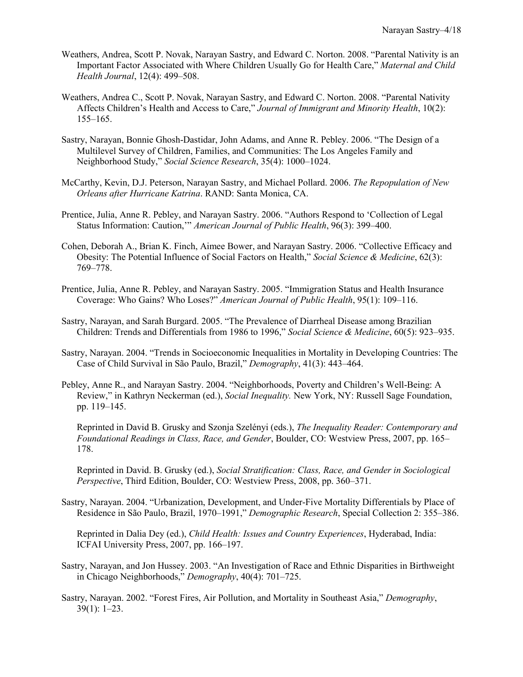- Weathers, Andrea, Scott P. Novak, Narayan Sastry, and Edward C. Norton. 2008. "Parental Nativity is an Important Factor Associated with Where Children Usually Go for Health Care," *Maternal and Child Health Journal*, 12(4): 499–508.
- Weathers, Andrea C., Scott P. Novak, Narayan Sastry, and Edward C. Norton. 2008. "Parental Nativity Affects Children's Health and Access to Care," *Journal of Immigrant and Minority Health*, 10(2): 155–165.
- Sastry, Narayan, Bonnie Ghosh-Dastidar, John Adams, and Anne R. Pebley. 2006. "The Design of a Multilevel Survey of Children, Families, and Communities: The Los Angeles Family and Neighborhood Study," *Social Science Research*, 35(4): 1000–1024.
- McCarthy, Kevin, D.J. Peterson, Narayan Sastry, and Michael Pollard. 2006. *The Repopulation of New Orleans after Hurricane Katrina*. RAND: Santa Monica, CA.
- Prentice, Julia, Anne R. Pebley, and Narayan Sastry. 2006. "Authors Respond to 'Collection of Legal Status Information: Caution,'" *American Journal of Public Health*, 96(3): 399–400.
- Cohen, Deborah A., Brian K. Finch, Aimee Bower, and Narayan Sastry. 2006. "Collective Efficacy and Obesity: The Potential Influence of Social Factors on Health," *Social Science & Medicine*, 62(3): 769–778.
- Prentice, Julia, Anne R. Pebley, and Narayan Sastry. 2005. "Immigration Status and Health Insurance Coverage: Who Gains? Who Loses?" *American Journal of Public Health*, 95(1): 109–116.
- Sastry, Narayan, and Sarah Burgard. 2005. "The Prevalence of Diarrheal Disease among Brazilian Children: Trends and Differentials from 1986 to 1996," *Social Science & Medicine*, 60(5): 923–935.
- Sastry, Narayan. 2004. "Trends in Socioeconomic Inequalities in Mortality in Developing Countries: The Case of Child Survival in São Paulo, Brazil," *Demography*, 41(3): 443–464.
- Pebley, Anne R., and Narayan Sastry. 2004. "Neighborhoods, Poverty and Children's Well-Being: A Review," in Kathryn Neckerman (ed.), *Social Inequality.* New York, NY: Russell Sage Foundation, pp. 119–145.

Reprinted in David B. Grusky and Szonja Szelényi (eds.), *The Inequality Reader: Contemporary and Foundational Readings in Class, Race, and Gender*, Boulder, CO: Westview Press, 2007, pp. 165– 178.

Reprinted in David. B. Grusky (ed.), *Social Stratification: Class, Race, and Gender in Sociological Perspective*, Third Edition, Boulder, CO: Westview Press, 2008, pp. 360–371.

Sastry, Narayan. 2004. "Urbanization, Development, and Under-Five Mortality Differentials by Place of Residence in São Paulo, Brazil, 1970–1991," *Demographic Research*, Special Collection 2: 355–386.

Reprinted in Dalia Dey (ed.), *Child Health: Issues and Country Experiences*, Hyderabad, India: ICFAI University Press, 2007, pp. 166–197.

- Sastry, Narayan, and Jon Hussey. 2003. "An Investigation of Race and Ethnic Disparities in Birthweight in Chicago Neighborhoods," *Demography*, 40(4): 701–725.
- Sastry, Narayan. 2002. "Forest Fires, Air Pollution, and Mortality in Southeast Asia," *Demography*, 39(1): 1–23.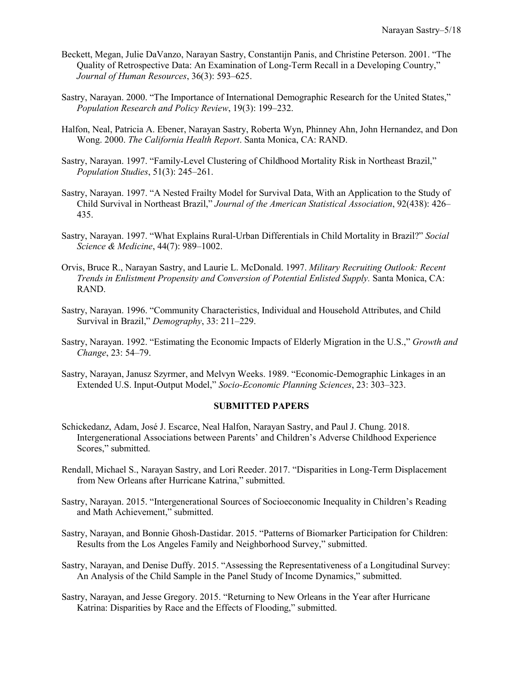- Beckett, Megan, Julie DaVanzo, Narayan Sastry, Constantijn Panis, and Christine Peterson. 2001. "The Quality of Retrospective Data: An Examination of Long-Term Recall in a Developing Country," *Journal of Human Resources*, 36(3): 593–625.
- Sastry, Narayan. 2000. "The Importance of International Demographic Research for the United States," *Population Research and Policy Review*, 19(3): 199–232.
- Halfon, Neal, Patricia A. Ebener, Narayan Sastry, Roberta Wyn, Phinney Ahn, John Hernandez, and Don Wong. 2000. *The California Health Report*. Santa Monica, CA: RAND.
- Sastry, Narayan. 1997. "Family-Level Clustering of Childhood Mortality Risk in Northeast Brazil," *Population Studies*, 51(3): 245–261.
- Sastry, Narayan. 1997. "A Nested Frailty Model for Survival Data, With an Application to the Study of Child Survival in Northeast Brazil," *Journal of the American Statistical Association*, 92(438): 426– 435.
- Sastry, Narayan. 1997. "What Explains Rural-Urban Differentials in Child Mortality in Brazil?" *Social Science & Medicine*, 44(7): 989–1002.
- Orvis, Bruce R., Narayan Sastry, and Laurie L. McDonald. 1997. *Military Recruiting Outlook: Recent Trends in Enlistment Propensity and Conversion of Potential Enlisted Supply.* Santa Monica, CA: RAND.
- Sastry, Narayan. 1996. "Community Characteristics, Individual and Household Attributes, and Child Survival in Brazil," *Demography*, 33: 211–229.
- Sastry, Narayan. 1992. "Estimating the Economic Impacts of Elderly Migration in the U.S.," *Growth and Change*, 23: 54–79.
- Sastry, Narayan, Janusz Szyrmer, and Melvyn Weeks. 1989. "Economic-Demographic Linkages in an Extended U.S. Input-Output Model," *Socio-Economic Planning Sciences*, 23: 303–323.

#### **SUBMITTED PAPERS**

- Schickedanz, Adam, José J. Escarce, Neal Halfon, Narayan Sastry, and Paul J. Chung. 2018. Intergenerational Associations between Parents' and Children's Adverse Childhood Experience Scores," submitted.
- Rendall, Michael S., Narayan Sastry, and Lori Reeder. 2017. "Disparities in Long-Term Displacement from New Orleans after Hurricane Katrina," submitted.
- Sastry, Narayan. 2015. "Intergenerational Sources of Socioeconomic Inequality in Children's Reading and Math Achievement," submitted.
- Sastry, Narayan, and Bonnie Ghosh-Dastidar. 2015. "Patterns of Biomarker Participation for Children: Results from the Los Angeles Family and Neighborhood Survey," submitted.
- Sastry, Narayan, and Denise Duffy. 2015. "Assessing the Representativeness of a Longitudinal Survey: An Analysis of the Child Sample in the Panel Study of Income Dynamics," submitted.
- Sastry, Narayan, and Jesse Gregory. 2015. "Returning to New Orleans in the Year after Hurricane Katrina: Disparities by Race and the Effects of Flooding," submitted.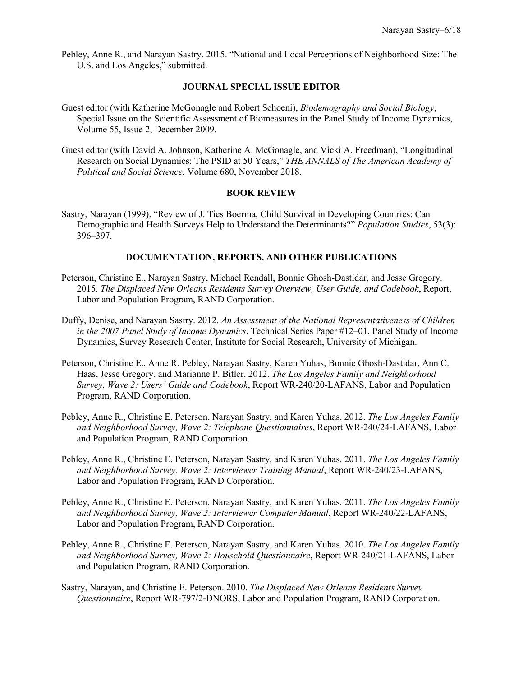Pebley, Anne R., and Narayan Sastry. 2015. "National and Local Perceptions of Neighborhood Size: The U.S. and Los Angeles," submitted.

## **JOURNAL SPECIAL ISSUE EDITOR**

- Guest editor (with Katherine McGonagle and Robert Schoeni), *Biodemography and Social Biology*, Special Issue on the Scientific Assessment of Biomeasures in the Panel Study of Income Dynamics, Volume 55, Issue 2, December 2009.
- Guest editor (with David A. Johnson, Katherine A. McGonagle, and Vicki A. Freedman), "Longitudinal Research on Social Dynamics: The PSID at 50 Years," *THE ANNALS of The American Academy of Political and Social Science*, Volume 680, November 2018.

### **BOOK REVIEW**

Sastry, Narayan (1999), "Review of J. Ties Boerma, Child Survival in Developing Countries: Can Demographic and Health Surveys Help to Understand the Determinants?" *Population Studies*, 53(3): 396–397.

### **DOCUMENTATION, REPORTS, AND OTHER PUBLICATIONS**

- Peterson, Christine E., Narayan Sastry, Michael Rendall, Bonnie Ghosh-Dastidar, and Jesse Gregory. 2015. *The Displaced New Orleans Residents Survey Overview, User Guide, and Codebook*, Report, Labor and Population Program, RAND Corporation.
- Duffy, Denise, and Narayan Sastry. 2012. *An Assessment of the National Representativeness of Children in the 2007 Panel Study of Income Dynamics*, Technical Series Paper #12–01, Panel Study of Income Dynamics, Survey Research Center, Institute for Social Research, University of Michigan.
- Peterson, Christine E., Anne R. Pebley, Narayan Sastry, Karen Yuhas, Bonnie Ghosh-Dastidar, Ann C. Haas, Jesse Gregory, and Marianne P. Bitler. 2012. *The Los Angeles Family and Neighborhood Survey, Wave 2: Users' Guide and Codebook*, Report WR-240/20-LAFANS, Labor and Population Program, RAND Corporation.
- Pebley, Anne R., Christine E. Peterson, Narayan Sastry, and Karen Yuhas. 2012. *The Los Angeles Family and Neighborhood Survey, Wave 2: Telephone Questionnaires*, Report WR-240/24-LAFANS, Labor and Population Program, RAND Corporation.
- Pebley, Anne R., Christine E. Peterson, Narayan Sastry, and Karen Yuhas. 2011. *The Los Angeles Family and Neighborhood Survey, Wave 2: Interviewer Training Manual*, Report WR-240/23-LAFANS, Labor and Population Program, RAND Corporation.
- Pebley, Anne R., Christine E. Peterson, Narayan Sastry, and Karen Yuhas. 2011. *The Los Angeles Family and Neighborhood Survey, Wave 2: Interviewer Computer Manual*, Report WR-240/22-LAFANS, Labor and Population Program, RAND Corporation.
- Pebley, Anne R., Christine E. Peterson, Narayan Sastry, and Karen Yuhas. 2010. *The Los Angeles Family and Neighborhood Survey, Wave 2: Household Questionnaire*, Report WR-240/21-LAFANS, Labor and Population Program, RAND Corporation.
- Sastry, Narayan, and Christine E. Peterson. 2010. *The Displaced New Orleans Residents Survey Questionnaire*, Report WR-797/2-DNORS, Labor and Population Program, RAND Corporation.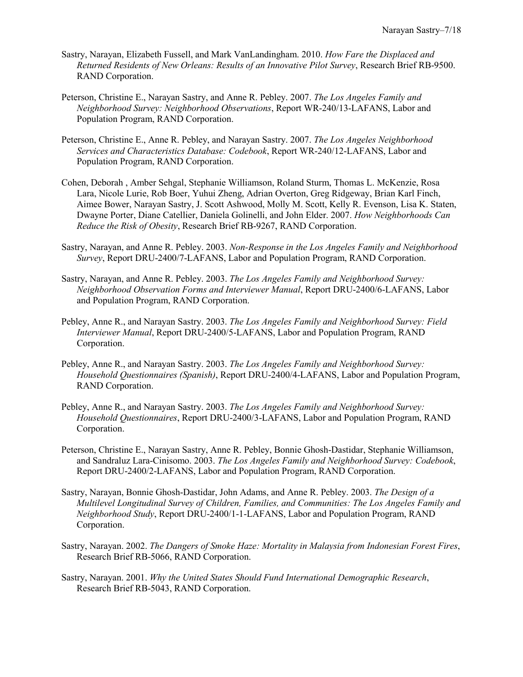- Sastry, Narayan, Elizabeth Fussell, and Mark VanLandingham. 2010. *How Fare the Displaced and Returned Residents of New Orleans: Results of an Innovative Pilot Survey*, Research Brief RB-9500. RAND Corporation.
- Peterson, Christine E., Narayan Sastry, and Anne R. Pebley. 2007. *The Los Angeles Family and Neighborhood Survey: Neighborhood Observations*, Report WR-240/13-LAFANS, Labor and Population Program, RAND Corporation.
- Peterson, Christine E., Anne R. Pebley, and Narayan Sastry. 2007. *The Los Angeles Neighborhood Services and Characteristics Database: Codebook*, Report WR-240/12-LAFANS, Labor and Population Program, RAND Corporation.
- Cohen, Deborah , Amber Sehgal, Stephanie Williamson, Roland Sturm, Thomas L. McKenzie, Rosa Lara, Nicole Lurie, Rob Boer, Yuhui Zheng, Adrian Overton, Greg Ridgeway, Brian Karl Finch, Aimee Bower, Narayan Sastry, J. Scott Ashwood, Molly M. Scott, Kelly R. Evenson, Lisa K. Staten, Dwayne Porter, Diane Catellier, Daniela Golinelli, and John Elder. 2007. *How Neighborhoods Can Reduce the Risk of Obesity*, Research Brief RB-9267, RAND Corporation.
- Sastry, Narayan, and Anne R. Pebley. 2003. *Non-Response in the Los Angeles Family and Neighborhood Survey*, Report DRU-2400/7-LAFANS, Labor and Population Program, RAND Corporation.
- Sastry, Narayan, and Anne R. Pebley. 2003. *The Los Angeles Family and Neighborhood Survey: Neighborhood Observation Forms and Interviewer Manual*, Report DRU-2400/6-LAFANS, Labor and Population Program, RAND Corporation.
- Pebley, Anne R., and Narayan Sastry. 2003. *The Los Angeles Family and Neighborhood Survey: Field Interviewer Manual*, Report DRU-2400/5-LAFANS, Labor and Population Program, RAND Corporation.
- Pebley, Anne R., and Narayan Sastry. 2003. *The Los Angeles Family and Neighborhood Survey: Household Questionnaires (Spanish)*, Report DRU-2400/4-LAFANS, Labor and Population Program, RAND Corporation.
- Pebley, Anne R., and Narayan Sastry. 2003. *The Los Angeles Family and Neighborhood Survey: Household Questionnaires*, Report DRU-2400/3-LAFANS, Labor and Population Program, RAND Corporation.
- Peterson, Christine E., Narayan Sastry, Anne R. Pebley, Bonnie Ghosh-Dastidar, Stephanie Williamson, and Sandraluz Lara-Cinisomo. 2003. *The Los Angeles Family and Neighborhood Survey: Codebook*, Report DRU-2400/2-LAFANS, Labor and Population Program, RAND Corporation.
- Sastry, Narayan, Bonnie Ghosh-Dastidar, John Adams, and Anne R. Pebley. 2003. *The Design of a Multilevel Longitudinal Survey of Children, Families, and Communities: The Los Angeles Family and Neighborhood Study*, Report DRU-2400/1-1-LAFANS, Labor and Population Program, RAND Corporation.
- Sastry, Narayan. 2002. *The Dangers of Smoke Haze: Mortality in Malaysia from Indonesian Forest Fires*, Research Brief RB-5066, RAND Corporation.
- Sastry, Narayan. 2001. *Why the United States Should Fund International Demographic Research*, Research Brief RB-5043, RAND Corporation.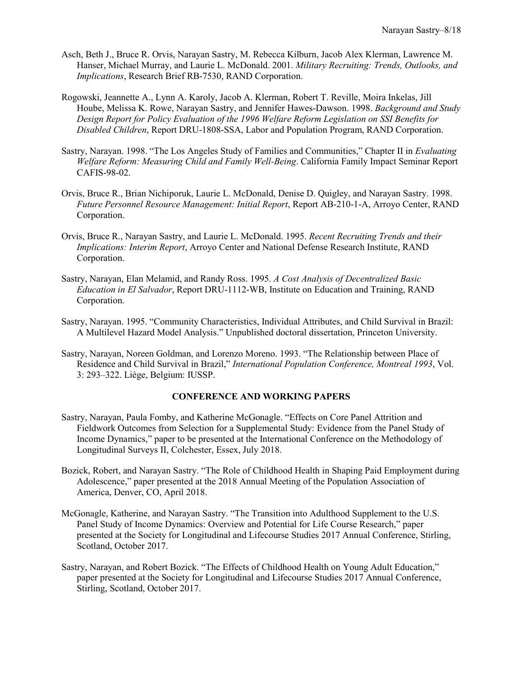- Asch, Beth J., Bruce R. Orvis, Narayan Sastry, M. Rebecca Kilburn, Jacob Alex Klerman, Lawrence M. Hanser, Michael Murray, and Laurie L. McDonald. 2001. *Military Recruiting: Trends, Outlooks, and Implications*, Research Brief RB-7530, RAND Corporation.
- Rogowski, Jeannette A., Lynn A. Karoly, Jacob A. Klerman, Robert T. Reville, Moira Inkelas, Jill Hoube, Melissa K. Rowe, Narayan Sastry, and Jennifer Hawes-Dawson. 1998. *Background and Study Design Report for Policy Evaluation of the 1996 Welfare Reform Legislation on SSI Benefits for Disabled Children*, Report DRU-1808-SSA, Labor and Population Program, RAND Corporation.
- Sastry, Narayan. 1998. "The Los Angeles Study of Families and Communities," Chapter II in *Evaluating Welfare Reform: Measuring Child and Family Well-Being*. California Family Impact Seminar Report CAFIS-98-02.
- Orvis, Bruce R., Brian Nichiporuk, Laurie L. McDonald, Denise D. Quigley, and Narayan Sastry. 1998. *Future Personnel Resource Management: Initial Report*, Report AB-210-1-A, Arroyo Center, RAND Corporation.
- Orvis, Bruce R., Narayan Sastry, and Laurie L. McDonald. 1995. *Recent Recruiting Trends and their Implications: Interim Report*, Arroyo Center and National Defense Research Institute, RAND Corporation.
- Sastry, Narayan, Elan Melamid, and Randy Ross. 1995. *A Cost Analysis of Decentralized Basic Education in El Salvador*, Report DRU-1112-WB, Institute on Education and Training, RAND Corporation.
- Sastry, Narayan. 1995. "Community Characteristics, Individual Attributes, and Child Survival in Brazil: A Multilevel Hazard Model Analysis." Unpublished doctoral dissertation, Princeton University.
- Sastry, Narayan, Noreen Goldman, and Lorenzo Moreno. 1993. "The Relationship between Place of Residence and Child Survival in Brazil," *International Population Conference, Montreal 1993*, Vol. 3: 293–322. Liège, Belgium: IUSSP.

### **CONFERENCE AND WORKING PAPERS**

- Sastry, Narayan, Paula Fomby, and Katherine McGonagle. "Effects on Core Panel Attrition and Fieldwork Outcomes from Selection for a Supplemental Study: Evidence from the Panel Study of Income Dynamics," paper to be presented at the International Conference on the Methodology of Longitudinal Surveys II, Colchester, Essex, July 2018.
- Bozick, Robert, and Narayan Sastry. "The Role of Childhood Health in Shaping Paid Employment during Adolescence," paper presented at the 2018 Annual Meeting of the Population Association of America, Denver, CO, April 2018.
- McGonagle, Katherine, and Narayan Sastry. "The Transition into Adulthood Supplement to the U.S. Panel Study of Income Dynamics: Overview and Potential for Life Course Research," paper presented at the Society for Longitudinal and Lifecourse Studies 2017 Annual Conference, Stirling, Scotland, October 2017.
- Sastry, Narayan, and Robert Bozick. "The Effects of Childhood Health on Young Adult Education," paper presented at the Society for Longitudinal and Lifecourse Studies 2017 Annual Conference, Stirling, Scotland, October 2017.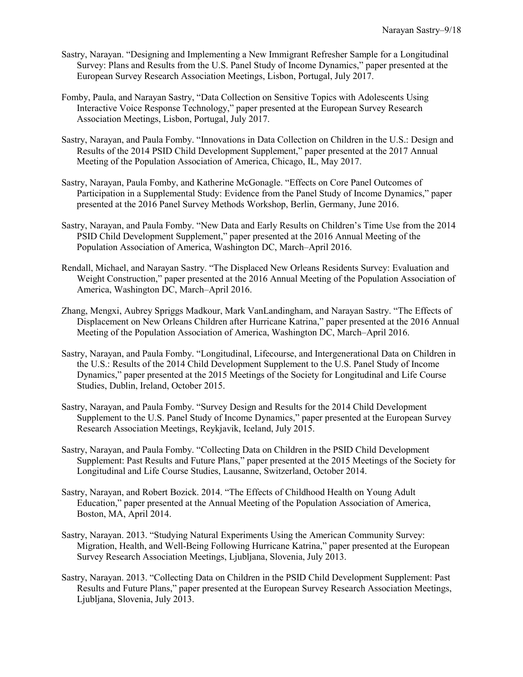- Sastry, Narayan. "Designing and Implementing a New Immigrant Refresher Sample for a Longitudinal Survey: Plans and Results from the U.S. Panel Study of Income Dynamics," paper presented at the European Survey Research Association Meetings, Lisbon, Portugal, July 2017.
- Fomby, Paula, and Narayan Sastry, "Data Collection on Sensitive Topics with Adolescents Using Interactive Voice Response Technology," paper presented at the European Survey Research Association Meetings, Lisbon, Portugal, July 2017.
- Sastry, Narayan, and Paula Fomby. "Innovations in Data Collection on Children in the U.S.: Design and Results of the 2014 PSID Child Development Supplement," paper presented at the 2017 Annual Meeting of the Population Association of America, Chicago, IL, May 2017.
- Sastry, Narayan, Paula Fomby, and Katherine McGonagle. "Effects on Core Panel Outcomes of Participation in a Supplemental Study: Evidence from the Panel Study of Income Dynamics," paper presented at the 2016 Panel Survey Methods Workshop, Berlin, Germany, June 2016.
- Sastry, Narayan, and Paula Fomby. "New Data and Early Results on Children's Time Use from the 2014 PSID Child Development Supplement," paper presented at the 2016 Annual Meeting of the Population Association of America, Washington DC, March–April 2016.
- Rendall, Michael, and Narayan Sastry. "The Displaced New Orleans Residents Survey: Evaluation and Weight Construction," paper presented at the 2016 Annual Meeting of the Population Association of America, Washington DC, March–April 2016.
- Zhang, Mengxi, Aubrey Spriggs Madkour, Mark VanLandingham, and Narayan Sastry. "The Effects of Displacement on New Orleans Children after Hurricane Katrina," paper presented at the 2016 Annual Meeting of the Population Association of America, Washington DC, March–April 2016.
- Sastry, Narayan, and Paula Fomby. "Longitudinal, Lifecourse, and Intergenerational Data on Children in the U.S.: Results of the 2014 Child Development Supplement to the U.S. Panel Study of Income Dynamics," paper presented at the 2015 Meetings of the Society for Longitudinal and Life Course Studies, Dublin, Ireland, October 2015.
- Sastry, Narayan, and Paula Fomby. "Survey Design and Results for the 2014 Child Development Supplement to the U.S. Panel Study of Income Dynamics," paper presented at the European Survey Research Association Meetings, Reykjavik, Iceland, July 2015.
- Sastry, Narayan, and Paula Fomby. "Collecting Data on Children in the PSID Child Development Supplement: Past Results and Future Plans," paper presented at the 2015 Meetings of the Society for Longitudinal and Life Course Studies, Lausanne, Switzerland, October 2014.
- Sastry, Narayan, and Robert Bozick. 2014. "The Effects of Childhood Health on Young Adult Education," paper presented at the Annual Meeting of the Population Association of America, Boston, MA, April 2014.
- Sastry, Narayan. 2013. "Studying Natural Experiments Using the American Community Survey: Migration, Health, and Well-Being Following Hurricane Katrina," paper presented at the European Survey Research Association Meetings, Ljubljana, Slovenia, July 2013.
- Sastry, Narayan. 2013. "Collecting Data on Children in the PSID Child Development Supplement: Past Results and Future Plans," paper presented at the European Survey Research Association Meetings, Ljubljana, Slovenia, July 2013.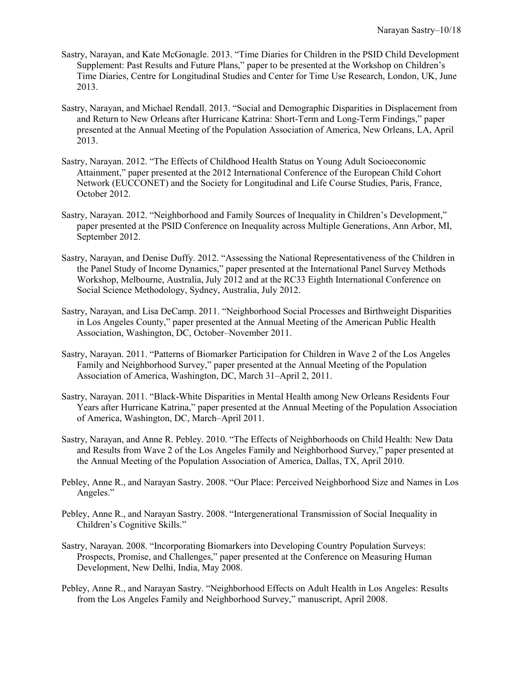- Sastry, Narayan, and Kate McGonagle. 2013. "Time Diaries for Children in the PSID Child Development Supplement: Past Results and Future Plans," paper to be presented at the Workshop on Children's Time Diaries, Centre for Longitudinal Studies and Center for Time Use Research, London, UK, June 2013.
- Sastry, Narayan, and Michael Rendall. 2013. "Social and Demographic Disparities in Displacement from and Return to New Orleans after Hurricane Katrina: Short-Term and Long-Term Findings," paper presented at the Annual Meeting of the Population Association of America, New Orleans, LA, April 2013.
- Sastry, Narayan. 2012. "The Effects of Childhood Health Status on Young Adult Socioeconomic Attainment," paper presented at the 2012 International Conference of the European Child Cohort Network (EUCCONET) and the Society for Longitudinal and Life Course Studies, Paris, France, October 2012.
- Sastry, Narayan. 2012. "Neighborhood and Family Sources of Inequality in Children's Development," paper presented at the PSID Conference on Inequality across Multiple Generations, Ann Arbor, MI, September 2012.
- Sastry, Narayan, and Denise Duffy. 2012. "Assessing the National Representativeness of the Children in the Panel Study of Income Dynamics," paper presented at the International Panel Survey Methods Workshop, Melbourne, Australia, July 2012 and at the RC33 Eighth International Conference on Social Science Methodology, Sydney, Australia, July 2012.
- Sastry, Narayan, and Lisa DeCamp. 2011. "Neighborhood Social Processes and Birthweight Disparities in Los Angeles County," paper presented at the Annual Meeting of the American Public Health Association, Washington, DC, October–November 2011.
- Sastry, Narayan. 2011. "Patterns of Biomarker Participation for Children in Wave 2 of the Los Angeles Family and Neighborhood Survey," paper presented at the Annual Meeting of the Population Association of America, Washington, DC, March 31–April 2, 2011.
- Sastry, Narayan. 2011. "Black-White Disparities in Mental Health among New Orleans Residents Four Years after Hurricane Katrina," paper presented at the Annual Meeting of the Population Association of America, Washington, DC, March–April 2011.
- Sastry, Narayan, and Anne R. Pebley. 2010. "The Effects of Neighborhoods on Child Health: New Data and Results from Wave 2 of the Los Angeles Family and Neighborhood Survey," paper presented at the Annual Meeting of the Population Association of America, Dallas, TX, April 2010.
- Pebley, Anne R., and Narayan Sastry. 2008. "Our Place: Perceived Neighborhood Size and Names in Los Angeles."
- Pebley, Anne R., and Narayan Sastry. 2008. "Intergenerational Transmission of Social Inequality in Children's Cognitive Skills."
- Sastry, Narayan. 2008. "Incorporating Biomarkers into Developing Country Population Surveys: Prospects, Promise, and Challenges," paper presented at the Conference on Measuring Human Development, New Delhi, India, May 2008.
- Pebley, Anne R., and Narayan Sastry. "Neighborhood Effects on Adult Health in Los Angeles: Results from the Los Angeles Family and Neighborhood Survey," manuscript, April 2008.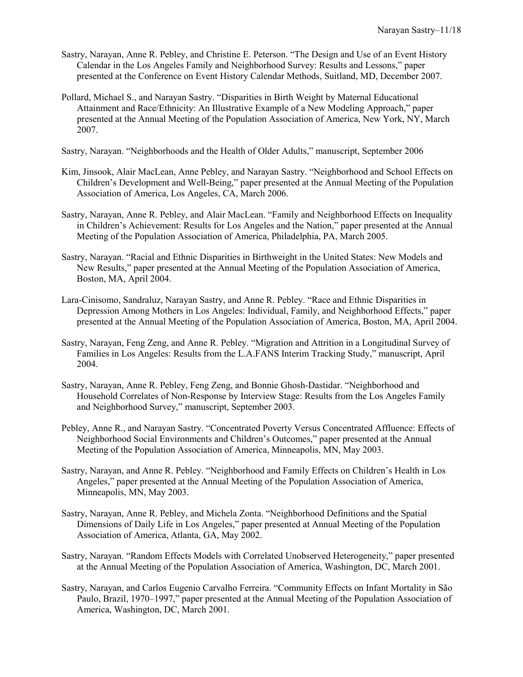- Sastry, Narayan, Anne R. Pebley, and Christine E. Peterson. "The Design and Use of an Event History Calendar in the Los Angeles Family and Neighborhood Survey: Results and Lessons," paper presented at the Conference on Event History Calendar Methods, Suitland, MD, December 2007.
- Pollard, Michael S., and Narayan Sastry. "Disparities in Birth Weight by Maternal Educational Attainment and Race/Ethnicity: An Illustrative Example of a New Modeling Approach," paper presented at the Annual Meeting of the Population Association of America, New York, NY, March 2007.
- Sastry, Narayan. "Neighborhoods and the Health of Older Adults," manuscript, September 2006
- Kim, Jinsook, Alair MacLean, Anne Pebley, and Narayan Sastry. "Neighborhood and School Effects on Children's Development and Well-Being," paper presented at the Annual Meeting of the Population Association of America, Los Angeles, CA, March 2006.
- Sastry, Narayan, Anne R. Pebley, and Alair MacLean. "Family and Neighborhood Effects on Inequality in Children's Achievement: Results for Los Angeles and the Nation," paper presented at the Annual Meeting of the Population Association of America, Philadelphia, PA, March 2005.
- Sastry, Narayan. "Racial and Ethnic Disparities in Birthweight in the United States: New Models and New Results," paper presented at the Annual Meeting of the Population Association of America, Boston, MA, April 2004.
- Lara-Cinisomo, Sandraluz, Narayan Sastry, and Anne R. Pebley. "Race and Ethnic Disparities in Depression Among Mothers in Los Angeles: Individual, Family, and Neighborhood Effects," paper presented at the Annual Meeting of the Population Association of America, Boston, MA, April 2004.
- Sastry, Narayan, Feng Zeng, and Anne R. Pebley. "Migration and Attrition in a Longitudinal Survey of Families in Los Angeles: Results from the L.A.FANS Interim Tracking Study," manuscript, April 2004.
- Sastry, Narayan, Anne R. Pebley, Feng Zeng, and Bonnie Ghosh-Dastidar. "Neighborhood and Household Correlates of Non-Response by Interview Stage: Results from the Los Angeles Family and Neighborhood Survey," manuscript, September 2003.
- Pebley, Anne R., and Narayan Sastry. "Concentrated Poverty Versus Concentrated Affluence: Effects of Neighborhood Social Environments and Children's Outcomes," paper presented at the Annual Meeting of the Population Association of America, Minneapolis, MN, May 2003.
- Sastry, Narayan, and Anne R. Pebley. "Neighborhood and Family Effects on Children's Health in Los Angeles," paper presented at the Annual Meeting of the Population Association of America, Minneapolis, MN, May 2003.
- Sastry, Narayan, Anne R. Pebley, and Michela Zonta. "Neighborhood Definitions and the Spatial Dimensions of Daily Life in Los Angeles," paper presented at Annual Meeting of the Population Association of America, Atlanta, GA, May 2002.
- Sastry, Narayan. "Random Effects Models with Correlated Unobserved Heterogeneity," paper presented at the Annual Meeting of the Population Association of America, Washington, DC, March 2001.
- Sastry, Narayan, and Carlos Eugenio Carvalho Ferreira. "Community Effects on Infant Mortality in São Paulo, Brazil, 1970–1997," paper presented at the Annual Meeting of the Population Association of America, Washington, DC, March 2001.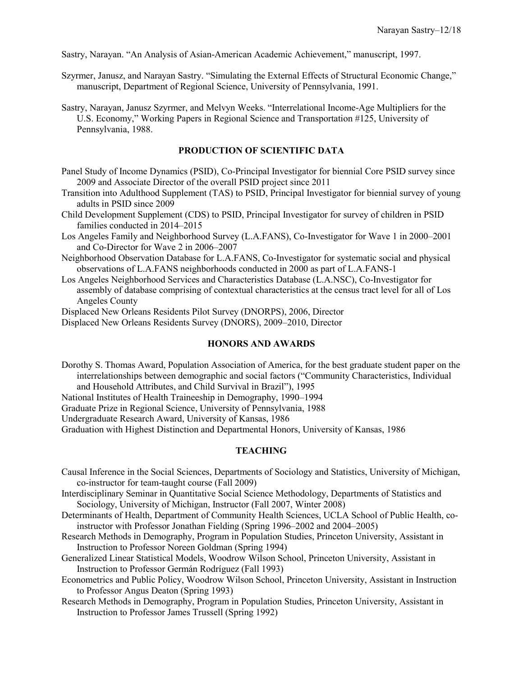Sastry, Narayan. "An Analysis of Asian-American Academic Achievement," manuscript, 1997.

- Szyrmer, Janusz, and Narayan Sastry. "Simulating the External Effects of Structural Economic Change," manuscript, Department of Regional Science, University of Pennsylvania, 1991.
- Sastry, Narayan, Janusz Szyrmer, and Melvyn Weeks. "Interrelational Income-Age Multipliers for the U.S. Economy," Working Papers in Regional Science and Transportation #125, University of Pennsylvania, 1988.

## **PRODUCTION OF SCIENTIFIC DATA**

- Panel Study of Income Dynamics (PSID), Co-Principal Investigator for biennial Core PSID survey since 2009 and Associate Director of the overall PSID project since 2011
- Transition into Adulthood Supplement (TAS) to PSID, Principal Investigator for biennial survey of young adults in PSID since 2009
- Child Development Supplement (CDS) to PSID, Principal Investigator for survey of children in PSID families conducted in 2014–2015
- Los Angeles Family and Neighborhood Survey (L.A.FANS), Co-Investigator for Wave 1 in 2000–2001 and Co-Director for Wave 2 in 2006–2007
- Neighborhood Observation Database for L.A.FANS, Co-Investigator for systematic social and physical observations of L.A.FANS neighborhoods conducted in 2000 as part of L.A.FANS-1
- Los Angeles Neighborhood Services and Characteristics Database (L.A.NSC), Co-Investigator for assembly of database comprising of contextual characteristics at the census tract level for all of Los Angeles County
- Displaced New Orleans Residents Pilot Survey (DNORPS), 2006, Director

Displaced New Orleans Residents Survey (DNORS), 2009–2010, Director

## **HONORS AND AWARDS**

Dorothy S. Thomas Award, Population Association of America, for the best graduate student paper on the interrelationships between demographic and social factors ("Community Characteristics, Individual and Household Attributes, and Child Survival in Brazil"), 1995

National Institutes of Health Traineeship in Demography, 1990–1994

Graduate Prize in Regional Science, University of Pennsylvania, 1988

Undergraduate Research Award, University of Kansas, 1986

Graduation with Highest Distinction and Departmental Honors, University of Kansas, 1986

## **TEACHING**

- Causal Inference in the Social Sciences, Departments of Sociology and Statistics, University of Michigan, co-instructor for team-taught course (Fall 2009)
- Interdisciplinary Seminar in Quantitative Social Science Methodology, Departments of Statistics and Sociology, University of Michigan, Instructor (Fall 2007, Winter 2008)
- Determinants of Health, Department of Community Health Sciences, UCLA School of Public Health, coinstructor with Professor Jonathan Fielding (Spring 1996–2002 and 2004–2005)
- Research Methods in Demography, Program in Population Studies, Princeton University, Assistant in Instruction to Professor Noreen Goldman (Spring 1994)
- Generalized Linear Statistical Models, Woodrow Wilson School, Princeton University, Assistant in Instruction to Professor Germán Rodríguez (Fall 1993)
- Econometrics and Public Policy, Woodrow Wilson School, Princeton University, Assistant in Instruction to Professor Angus Deaton (Spring 1993)
- Research Methods in Demography, Program in Population Studies, Princeton University, Assistant in Instruction to Professor James Trussell (Spring 1992)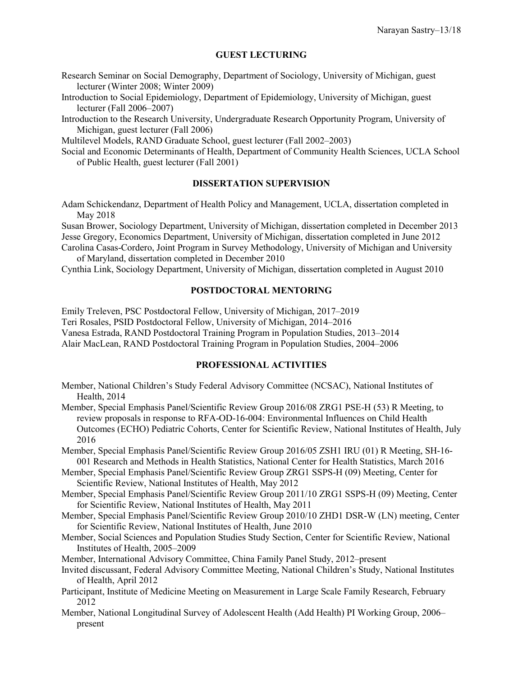## **GUEST LECTURING**

- Research Seminar on Social Demography, Department of Sociology, University of Michigan, guest lecturer (Winter 2008; Winter 2009)
- Introduction to Social Epidemiology, Department of Epidemiology, University of Michigan, guest lecturer (Fall 2006–2007)
- Introduction to the Research University, Undergraduate Research Opportunity Program, University of Michigan, guest lecturer (Fall 2006)

Multilevel Models, RAND Graduate School, guest lecturer (Fall 2002–2003)

Social and Economic Determinants of Health, Department of Community Health Sciences, UCLA School of Public Health, guest lecturer (Fall 2001)

## **DISSERTATION SUPERVISION**

Adam Schickendanz, Department of Health Policy and Management, UCLA, dissertation completed in May 2018

Susan Brower, Sociology Department, University of Michigan, dissertation completed in December 2013 Jesse Gregory, Economics Department, University of Michigan, dissertation completed in June 2012

Carolina Casas-Cordero, Joint Program in Survey Methodology, University of Michigan and University of Maryland, dissertation completed in December 2010

Cynthia Link, Sociology Department, University of Michigan, dissertation completed in August 2010

## **POSTDOCTORAL MENTORING**

Emily Treleven, PSC Postdoctoral Fellow, University of Michigan, 2017–2019 Teri Rosales, PSID Postdoctoral Fellow, University of Michigan, 2014–2016 Vanesa Estrada, RAND Postdoctoral Training Program in Population Studies, 2013–2014 Alair MacLean, RAND Postdoctoral Training Program in Population Studies, 2004–2006

#### **PROFESSIONAL ACTIVITIES**

- Member, National Children's Study Federal Advisory Committee (NCSAC), National Institutes of Health, 2014
- Member, Special Emphasis Panel/Scientific Review Group 2016/08 ZRG1 PSE-H (53) R Meeting, to review proposals in response to RFA-OD-16-004: Environmental Influences on Child Health Outcomes (ECHO) Pediatric Cohorts, Center for Scientific Review, National Institutes of Health, July 2016

Member, Special Emphasis Panel/Scientific Review Group 2016/05 ZSH1 IRU (01) R Meeting, SH-16- 001 Research and Methods in Health Statistics, National Center for Health Statistics, March 2016

Member, Special Emphasis Panel/Scientific Review Group ZRG1 SSPS-H (09) Meeting, Center for Scientific Review, National Institutes of Health, May 2012

- Member, Special Emphasis Panel/Scientific Review Group 2011/10 ZRG1 SSPS-H (09) Meeting, Center for Scientific Review, National Institutes of Health, May 2011
- Member, Special Emphasis Panel/Scientific Review Group 2010/10 ZHD1 DSR-W (LN) meeting, Center for Scientific Review, National Institutes of Health, June 2010
- Member, Social Sciences and Population Studies Study Section, Center for Scientific Review, National Institutes of Health, 2005–2009
- Member, International Advisory Committee, China Family Panel Study, 2012–present
- Invited discussant, Federal Advisory Committee Meeting, National Children's Study, National Institutes of Health, April 2012
- Participant, Institute of Medicine Meeting on Measurement in Large Scale Family Research, February 2012
- Member, National Longitudinal Survey of Adolescent Health (Add Health) PI Working Group, 2006– present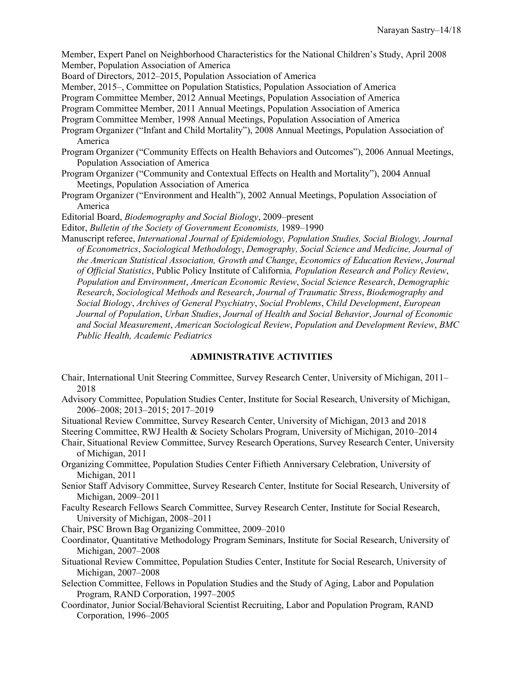Member, Expert Panel on Neighborhood Characteristics for the National Children's Study, April 2008 Member, Population Association of America

Board of Directors, 2012–2015, Population Association of America

Member, 2015–, Committee on Population Statistics, Population Association of America

Program Committee Member, 2012 Annual Meetings, Population Association of America

Program Committee Member, 2011 Annual Meetings, Population Association of America

Program Committee Member, 1998 Annual Meetings, Population Association of America

- Program Organizer ("Infant and Child Mortality"), 2008 Annual Meetings, Population Association of America
- Program Organizer ("Community Effects on Health Behaviors and Outcomes"), 2006 Annual Meetings, Population Association of America
- Program Organizer ("Community and Contextual Effects on Health and Mortality"), 2004 Annual Meetings, Population Association of America
- Program Organizer ("Environment and Health"), 2002 Annual Meetings, Population Association of America
- Editorial Board, *Biodemography and Social Biology*, 2009–present

Editor, *Bulletin of the Society of Government Economists,* 1989–1990

Manuscript referee, *International Journal of Epidemiology, Population Studies, Social Biology, Journal of Econometrics*, *Sociological Methodology*, *Demography, Social Science and Medicine, Journal of the American Statistical Association, Growth and Change*, *Economics of Education Review*, *Journal of Official Statistics*, Public Policy Institute of California*, Population Research and Policy Review*, *Population and Environment*, *American Economic Review*, *Social Science Research*, *Demographic Research*, *Sociological Methods and Research*, *Journal of Traumatic Stress*, *Biodemography and Social Biology*, *Archives of General Psychiatry*, *Social Problems*, *Child Development*, *European Journal of Population*, *Urban Studies*, *Journal of Health and Social Behavior*, *Journal of Economic and Social Measurement*, *American Sociological Review*, *Population and Development Review*, *BMC Public Health, Academic Pediatrics*

# **ADMINISTRATIVE ACTIVITIES**

- Chair, International Unit Steering Committee, Survey Research Center, University of Michigan, 2011– 2018
- Advisory Committee, Population Studies Center, Institute for Social Research, University of Michigan, 2006–2008; 2013–2015; 2017–2019

Situational Review Committee, Survey Research Center, University of Michigan, 2013 and 2018 Steering Committee, RWJ Health & Society Scholars Program, University of Michigan, 2010–2014

Chair, Situational Review Committee, Survey Research Operations, Survey Research Center, University of Michigan, 2011

Organizing Committee, Population Studies Center Fiftieth Anniversary Celebration, University of Michigan, 2011

- Senior Staff Advisory Committee, Survey Research Center, Institute for Social Research, University of Michigan, 2009–2011
- Faculty Research Fellows Search Committee, Survey Research Center, Institute for Social Research, University of Michigan, 2008–2011

Chair, PSC Brown Bag Organizing Committee, 2009–2010

Coordinator, Quantitative Methodology Program Seminars, Institute for Social Research, University of Michigan, 2007–2008

- Situational Review Committee, Population Studies Center, Institute for Social Research, University of Michigan, 2007–2008
- Selection Committee, Fellows in Population Studies and the Study of Aging, Labor and Population Program, RAND Corporation, 1997–2005
- Coordinator, Junior Social/Behavioral Scientist Recruiting, Labor and Population Program, RAND Corporation, 1996–2005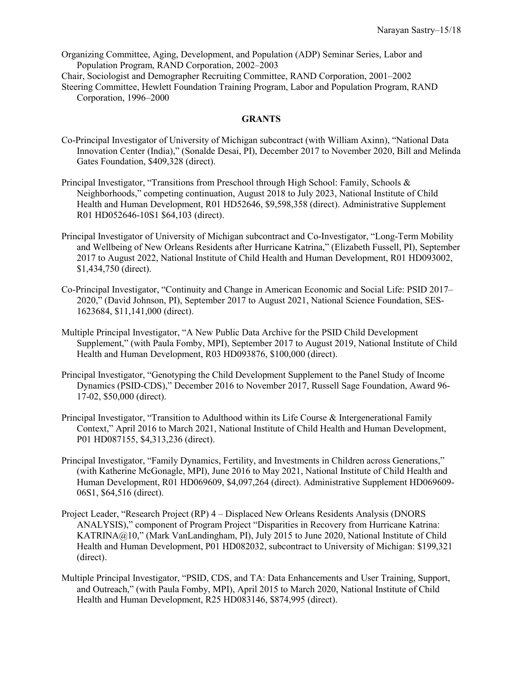Organizing Committee, Aging, Development, and Population (ADP) Seminar Series, Labor and Population Program, RAND Corporation, 2002–2003

Chair, Sociologist and Demographer Recruiting Committee, RAND Corporation, 2001–2002 Steering Committee, Hewlett Foundation Training Program, Labor and Population Program, RAND Corporation, 1996–2000

#### **GRANTS**

- Co-Principal Investigator of University of Michigan subcontract (with William Axinn), "National Data Innovation Center (India)," (Sonalde Desai, PI), December 2017 to November 2020, Bill and Melinda Gates Foundation, \$409,328 (direct).
- Principal Investigator, "Transitions from Preschool through High School: Family, Schools & Neighborhoods," competing continuation, August 2018 to July 2023, National Institute of Child Health and Human Development, R01 HD52646, \$9,598,358 (direct). Administrative Supplement R01 HD052646-10S1 \$64,103 (direct).
- Principal Investigator of University of Michigan subcontract and Co-Investigator, "Long-Term Mobility and Wellbeing of New Orleans Residents after Hurricane Katrina," (Elizabeth Fussell, PI), September 2017 to August 2022, National Institute of Child Health and Human Development, R01 HD093002, \$1,434,750 (direct).
- Co-Principal Investigator, "Continuity and Change in American Economic and Social Life: PSID 2017– 2020," (David Johnson, PI), September 2017 to August 2021, National Science Foundation, SES-1623684, \$11,141,000 (direct).
- Multiple Principal Investigator, "A New Public Data Archive for the PSID Child Development Supplement," (with Paula Fomby, MPI), September 2017 to August 2019, National Institute of Child Health and Human Development, R03 HD093876, \$100,000 (direct).
- Principal Investigator, "Genotyping the Child Development Supplement to the Panel Study of Income Dynamics (PSID-CDS)," December 2016 to November 2017, Russell Sage Foundation, Award 96- 17-02, \$50,000 (direct).
- Principal Investigator, "Transition to Adulthood within its Life Course & Intergenerational Family Context," April 2016 to March 2021, National Institute of Child Health and Human Development, P01 HD087155, \$4,313,236 (direct).
- Principal Investigator, "Family Dynamics, Fertility, and Investments in Children across Generations," (with Katherine McGonagle, MPI), June 2016 to May 2021, National Institute of Child Health and Human Development, R01 HD069609, \$4,097,264 (direct). Administrative Supplement HD069609- 06S1, \$64,516 (direct).
- Project Leader, "Research Project (RP) 4 Displaced New Orleans Residents Analysis (DNORS ANALYSIS)," component of Program Project "Disparities in Recovery from Hurricane Katrina: KATRINA@10," (Mark VanLandingham, PI), July 2015 to June 2020, National Institute of Child Health and Human Development, P01 HD082032, subcontract to University of Michigan: \$199,321 (direct).
- Multiple Principal Investigator, "PSID, CDS, and TA: Data Enhancements and User Training, Support, and Outreach," (with Paula Fomby, MPI), April 2015 to March 2020, National Institute of Child Health and Human Development, R25 HD083146, \$874,995 (direct).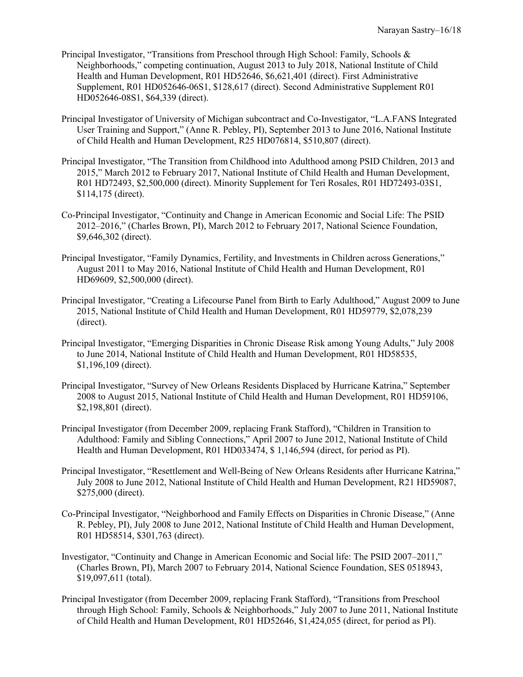- Principal Investigator, "Transitions from Preschool through High School: Family, Schools & Neighborhoods," competing continuation, August 2013 to July 2018, National Institute of Child Health and Human Development, R01 HD52646, \$6,621,401 (direct). First Administrative Supplement, R01 HD052646-06S1, \$128,617 (direct). Second Administrative Supplement R01 HD052646-08S1, \$64,339 (direct).
- Principal Investigator of University of Michigan subcontract and Co-Investigator, "L.A.FANS Integrated User Training and Support," (Anne R. Pebley, PI), September 2013 to June 2016, National Institute of Child Health and Human Development, R25 HD076814, \$510,807 (direct).
- Principal Investigator, "The Transition from Childhood into Adulthood among PSID Children, 2013 and 2015," March 2012 to February 2017, National Institute of Child Health and Human Development, R01 HD72493, \$2,500,000 (direct). Minority Supplement for Teri Rosales, R01 HD72493-03S1, \$114,175 (direct).
- Co-Principal Investigator, "Continuity and Change in American Economic and Social Life: The PSID 2012–2016," (Charles Brown, PI), March 2012 to February 2017, National Science Foundation, \$9,646,302 (direct).
- Principal Investigator, "Family Dynamics, Fertility, and Investments in Children across Generations," August 2011 to May 2016, National Institute of Child Health and Human Development, R01 HD69609, \$2,500,000 (direct).
- Principal Investigator, "Creating a Lifecourse Panel from Birth to Early Adulthood," August 2009 to June 2015, National Institute of Child Health and Human Development, R01 HD59779, \$2,078,239 (direct).
- Principal Investigator, "Emerging Disparities in Chronic Disease Risk among Young Adults," July 2008 to June 2014, National Institute of Child Health and Human Development, R01 HD58535, \$1,196,109 (direct).
- Principal Investigator, "Survey of New Orleans Residents Displaced by Hurricane Katrina," September 2008 to August 2015, National Institute of Child Health and Human Development, R01 HD59106, \$2,198,801 (direct).
- Principal Investigator (from December 2009, replacing Frank Stafford), "Children in Transition to Adulthood: Family and Sibling Connections," April 2007 to June 2012, National Institute of Child Health and Human Development, R01 HD033474, \$ 1,146,594 (direct, for period as PI).
- Principal Investigator, "Resettlement and Well-Being of New Orleans Residents after Hurricane Katrina," July 2008 to June 2012, National Institute of Child Health and Human Development, R21 HD59087, \$275,000 (direct).
- Co-Principal Investigator, "Neighborhood and Family Effects on Disparities in Chronic Disease," (Anne R. Pebley, PI), July 2008 to June 2012, National Institute of Child Health and Human Development, R01 HD58514, \$301,763 (direct).
- Investigator, "Continuity and Change in American Economic and Social life: The PSID 2007–2011," (Charles Brown, PI), March 2007 to February 2014, National Science Foundation, SES 0518943, \$19,097,611 (total).
- Principal Investigator (from December 2009, replacing Frank Stafford), "Transitions from Preschool through High School: Family, Schools & Neighborhoods," July 2007 to June 2011, National Institute of Child Health and Human Development, R01 HD52646, \$1,424,055 (direct, for period as PI).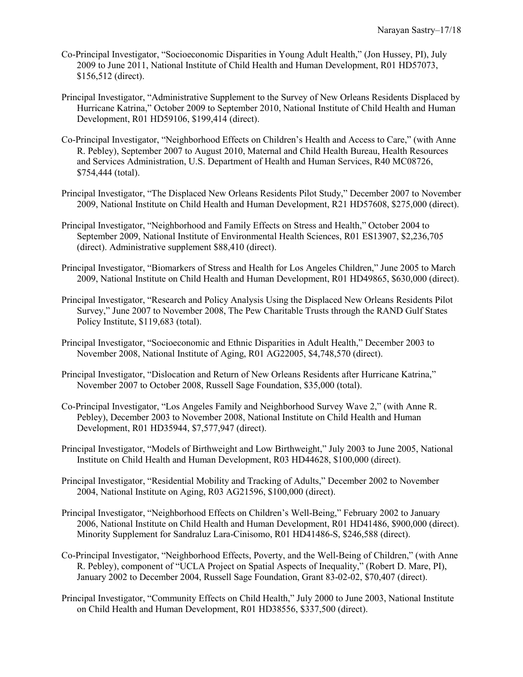- Co-Principal Investigator, "Socioeconomic Disparities in Young Adult Health," (Jon Hussey, PI), July 2009 to June 2011, National Institute of Child Health and Human Development, R01 HD57073, \$156,512 (direct).
- Principal Investigator, "Administrative Supplement to the Survey of New Orleans Residents Displaced by Hurricane Katrina," October 2009 to September 2010, National Institute of Child Health and Human Development, R01 HD59106, \$199,414 (direct).
- Co-Principal Investigator, "Neighborhood Effects on Children's Health and Access to Care," (with Anne R. Pebley), September 2007 to August 2010, Maternal and Child Health Bureau, Health Resources and Services Administration, U.S. Department of Health and Human Services, R40 MC08726, \$754,444 (total).
- Principal Investigator, "The Displaced New Orleans Residents Pilot Study," December 2007 to November 2009, National Institute on Child Health and Human Development, R21 HD57608, \$275,000 (direct).
- Principal Investigator, "Neighborhood and Family Effects on Stress and Health," October 2004 to September 2009, National Institute of Environmental Health Sciences, R01 ES13907, \$2,236,705 (direct). Administrative supplement \$88,410 (direct).
- Principal Investigator, "Biomarkers of Stress and Health for Los Angeles Children," June 2005 to March 2009, National Institute on Child Health and Human Development, R01 HD49865, \$630,000 (direct).
- Principal Investigator, "Research and Policy Analysis Using the Displaced New Orleans Residents Pilot Survey," June 2007 to November 2008, The Pew Charitable Trusts through the RAND Gulf States Policy Institute, \$119,683 (total).
- Principal Investigator, "Socioeconomic and Ethnic Disparities in Adult Health," December 2003 to November 2008, National Institute of Aging, R01 AG22005, \$4,748,570 (direct).
- Principal Investigator, "Dislocation and Return of New Orleans Residents after Hurricane Katrina," November 2007 to October 2008, Russell Sage Foundation, \$35,000 (total).
- Co-Principal Investigator, "Los Angeles Family and Neighborhood Survey Wave 2," (with Anne R. Pebley), December 2003 to November 2008, National Institute on Child Health and Human Development, R01 HD35944, \$7,577,947 (direct).
- Principal Investigator, "Models of Birthweight and Low Birthweight," July 2003 to June 2005, National Institute on Child Health and Human Development, R03 HD44628, \$100,000 (direct).
- Principal Investigator, "Residential Mobility and Tracking of Adults," December 2002 to November 2004, National Institute on Aging, R03 AG21596, \$100,000 (direct).
- Principal Investigator, "Neighborhood Effects on Children's Well-Being," February 2002 to January 2006, National Institute on Child Health and Human Development, R01 HD41486, \$900,000 (direct). Minority Supplement for Sandraluz Lara-Cinisomo, R01 HD41486-S, \$246,588 (direct).
- Co-Principal Investigator, "Neighborhood Effects, Poverty, and the Well-Being of Children," (with Anne R. Pebley), component of "UCLA Project on Spatial Aspects of Inequality," (Robert D. Mare, PI), January 2002 to December 2004, Russell Sage Foundation, Grant 83-02-02, \$70,407 (direct).
- Principal Investigator, "Community Effects on Child Health," July 2000 to June 2003, National Institute on Child Health and Human Development, R01 HD38556, \$337,500 (direct).